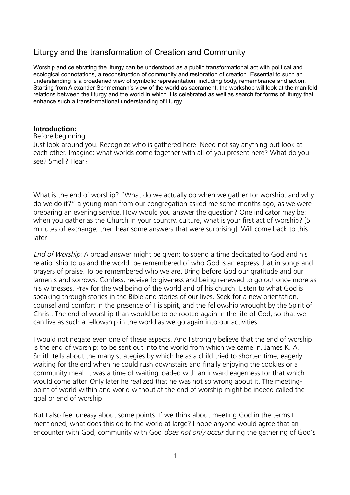# Liturgy and the transformation of Creation and Community

Worship and celebrating the liturgy can be understood as a public transformational act with political and ecological connotations, a reconstruction of community and restoration of creation. Essential to such an understanding is a broadened view of symbolic representation, including body, remembrance and action. Starting from Alexander Schmemann's view of the world as sacrament, the workshop will look at the manifold relations between the liturgy and the world in which it is celebrated as well as search for forms of liturgy that enhance such a transformational understanding of liturgy.

#### **Introduction:**

#### Before beginning:

Just look around you. Recognize who is gathered here. Need not say anything but look at each other. Imagine: what worlds come together with all of you present here? What do you see? Smell? Hear?

What is the end of worship? "What do we actually do when we gather for worship, and why do we do it?" a young man from our congregation asked me some months ago, as we were preparing an evening service. How would you answer the question? One indicator may be: when you gather as the Church in your country, culture, what is your first act of worship? [5 minutes of exchange, then hear some answers that were surprising]. Will come back to this later

End of Worship: A broad answer might be given: to spend a time dedicated to God and his relationship to us and the world: be remembered of who God is an express that in songs and prayers of praise. To be remembered who we are. Bring before God our gratitude and our laments and sorrows. Confess, receive forgiveness and being renewed to go out once more as his witnesses. Pray for the wellbeing of the world and of his church. Listen to what God is speaking through stories in the Bible and stories of our lives. Seek for a new orientation, counsel and comfort in the presence of His spirit, and the fellowship wrought by the Spirit of Christ. The end of worship than would be to be rooted again in the life of God, so that we can live as such a fellowship in the world as we go again into our activities.

I would not negate even one of these aspects. And I strongly believe that the end of worship is the end of worship: to be sent out into the world from which we came in. James K. A. Smith tells about the many strategies by which he as a child tried to shorten time, eagerly waiting for the end when he could rush downstairs and finally enjoying the cookies or a community meal. It was a time of waiting loaded with an inward eagerness for that which would come after. Only later he realized that he was not so wrong about it. The meetingpoint of world within and world without at the end of worship might be indeed called the goal or end of worship.

But I also feel uneasy about some points: If we think about meeting God in the terms I mentioned, what does this do to the world at large? I hope anyone would agree that an encounter with God, community with God *does not only occur* during the gathering of God's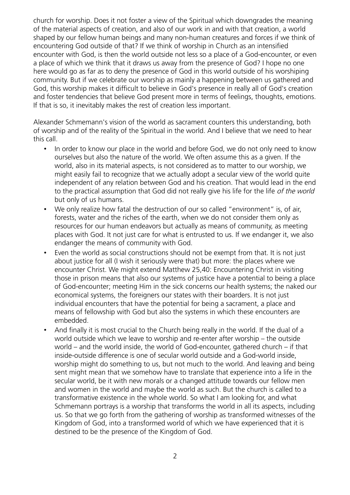church for worship. Does it not foster a view of the Spiritual which downgrades the meaning of the material aspects of creation, and also of our work in and with that creation, a world shaped by our fellow human beings and many non-human creatures and forces if we think of encountering God outside of that? If we think of worship in Church as an intensified encounter with God, is then the world outside not less so a place of a God-encounter, or even a place of which we think that it draws us away from the presence of God? I hope no one here would go as far as to deny the presence of God in this world outside of his worshiping community. But if we celebrate our worship as mainly a happening between us gathered and God, this worship makes it difficult to believe in God's presence in really all of God's creation and foster tendencies that believe God present more in terms of feelings, thoughts, emotions. If that is so, it inevitably makes the rest of creation less important.

Alexander Schmemann's vision of the world as sacrament counters this understanding, both of worship and of the reality of the Spiritual in the world. And I believe that we need to hear this call.

- In order to know our place in the world and before God, we do not only need to know ourselves but also the nature of the world. We often assume this as a given. If the world, also in its material aspects, is not considered as to matter to our worship, we might easily fail to recognize that we actually adopt a secular view of the world quite independent of any relation between God and his creation. That would lead in the end to the practical assumption that God did not really give his life for the life of the world but only of us humans.
- We only realize how fatal the destruction of our so called "environment" is, of air, forests, water and the riches of the earth, when we do not consider them only as resources for our human endeavors but actually as means of community, as meeting places with God. It not just care for what is entrusted to us. If we endanger it, we also endanger the means of community with God.
- Even the world as social constructions should not be exempt from that. It is not just about justice for all (I wish it seriously were that) but more: the places where we encounter Christ. We might extend Matthew 25,40: Encountering Christ in visiting those in prison means that also our systems of justice have a potential to being a place of God-encounter; meeting Him in the sick concerns our health systems; the naked our economical systems, the foreigners our states with their boarders. It is not just individual encounters that have the potential for being a sacrament, a place and means of fellowship with God but also the systems in which these encounters are embedded.
- And finally it is most crucial to the Church being really in the world. If the dual of a world outside which we leave to worship and re-enter after worship – the outside world – and the world inside, the world of God-encounter, gathered church – if that inside-outside difference is one of secular world outside and a God-world inside, worship might do something to us, but not much to the world. And leaving and being sent might mean that we somehow have to translate that experience into a life in the secular world, be it with new morals or a changed attitude towards our fellow men and women in the world and maybe the world as such. But the church is called to a transformative existence in the whole world. So what I am looking for, and what Schmemann portrays is a worship that transforms the world in all its aspects, including us. So that we go forth from the gathering of worship as transformed witnesses of the Kingdom of God, into a transformed world of which we have experienced that it is destined to be the presence of the Kingdom of God.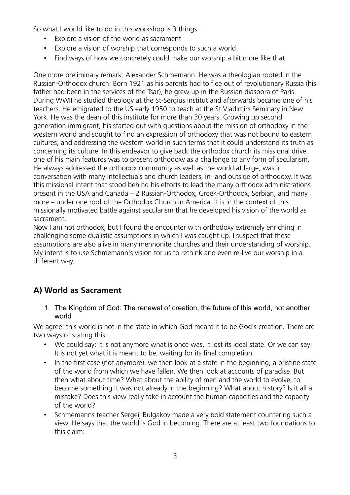So what I would like to do in this workshop is 3 things:

- Explore a vision of the world as sacrament
- Explore a vision of worship that corresponds to such a world
- Find ways of how we concretely could make our worship a bit more like that

One more preliminary remark: Alexander Schmemann: He was a theologian rooted in the Russian-Orthodox church. Born 1921 as his parents had to flee out of revolutionary Russia (his father had been in the services of the Tsar), he grew up in the Russian diaspora of Paris. During WWII he studied theology at the St-Sergius Institut and afterwards became one of his teachers. He emigrated to the US early 1950 to teach at the St Vladimirs Seminary in New York. He was the dean of this institute for more than 30 years. Growing up second generation immigrant, his started out with questions about the mission of orthodoxy in the western world and sought to find an expression of orthodoxy that was not bound to eastern cultures, and addressing the western world in such terms that it could understand its truth as concerning its culture. In this endeavor to give back the orthodox church its missional drive, one of his main features was to present orthodoxy as a challenge to any form of secularism. He always addressed the orthodox community as well as the world at large, was in conversation with many intellectuals and church leaders, in- and outside of orthodoxy. It was this missional intent that stood behind his efforts to lead the many orthodox administrations present in the USA and Canada – 2 Russian-Orthodox, Greek-Orthodox, Serbian, and many more – under one roof of the Orthodox Church in America. It is in the context of this missionally motivated battle against secularism that he developed his vision of the world as sacrament.

Now I am not orthodox, but I found the encounter with orthodoxy extremely enriching in challenging some dualistic assumptions in which I was caught up. I suspect that these assumptions are also alive in many mennonite churches and their understanding of worship. My intent is to use Schmemann's vision for us to rethink and even re-live our worship in a different way.

# **A) World as Sacrament**

#### 1. The Kingdom of God: The renewal of creation, the future of this world, not another world

We agree: this world is not in the state in which God meant it to be God's creation. There are two ways of stating this:

- We could say: it is not anymore what is once was, it lost its ideal state. Or we can say: It is not yet what it is meant to be, waiting for its final completion.
- In the first case (not anymore), we then look at a state in the beginning, a pristine state of the world from which we have fallen. We then look at accounts of paradise. But then what about time? What about the ability of men and the world to evolve, to become something it was not already in the beginning? What about history? Is it all a mistake? Does this view really take in account the human capacities and the capacity of the world?
- Schmemanns teacher Sergeij Bulgakov made a very bold statement countering such a view. He says that the world is God in becoming. There are at least two foundations to this claim: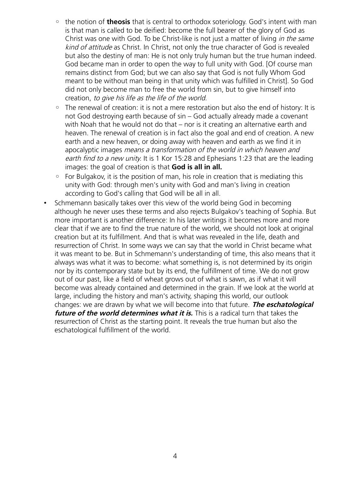- the notion of **theosis** that is central to orthodox soteriology. God's intent with man is that man is called to be deified: become the full bearer of the glory of God as Christ was one with God. To be Christ-like is not just a matter of living in the same kind of attitude as Christ. In Christ, not only the true character of God is revealed but also the destiny of man: He is not only truly human but the true human indeed. God became man in order to open the way to full unity with God. [Of course man remains distinct from God; but we can also say that God is not fully Whom God meant to be without man being in that unity which was fulfilled in Christ]. So God did not only become man to free the world from sin, but to give himself into creation, to give his life as the life of the world.
- The renewal of creation: it is not a mere restoration but also the end of history: It is not God destroying earth because of sin – God actually already made a covenant with Noah that he would not do that – nor is it creating an alternative earth and heaven. The renewal of creation is in fact also the goal and end of creation. A new earth and a new heaven, or doing away with heaven and earth as we find it in apocalyptic images means a transformation of the world in which heaven and earth find to a new unity. It is 1 Kor 15:28 and Ephesians 1:23 that are the leading images: the goal of creation is that **God is all in all.**
- For Bulgakov, it is the position of man, his role in creation that is mediating this unity with God: through men's unity with God and man's living in creation according to God's calling that God will be all in all.
- Schmemann basically takes over this view of the world being God in becoming although he never uses these terms and also rejects Bulgakov's teaching of Sophia. But more important is another difference: In his later writings it becomes more and more clear that if we are to find the true nature of the world, we should not look at original creation but at its fulfillment. And that is what was revealed in the life, death and resurrection of Christ. In some ways we can say that the world in Christ became what it was meant to be. But in Schmemann's understanding of time, this also means that it always was what it was to become: what something is, is not determined by its origin nor by its contemporary state but by its end, the fulfillment of time. We do not grow out of our past, like a field of wheat grows out of what is sawn, as if what it will become was already contained and determined in the grain. If we look at the world at large, including the history and man's activity, shaping this world, our outlook changes: we are drawn by what we will become into that future. **The eschatological future of the world determines what it is.** This is a radical turn that takes the resurrection of Christ as the starting point. It reveals the true human but also the eschatological fulfillment of the world.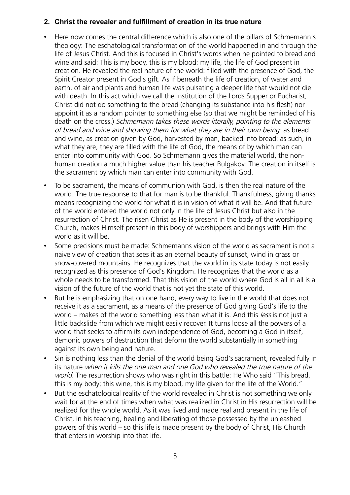#### **2. Christ the revealer and fulfillment of creation in its true nature**

- Here now comes the central difference which is also one of the pillars of Schmemann's theology: The eschatological transformation of the world happened in and through the life of Jesus Christ. And this is focused in Christ's words when he pointed to bread and wine and said: This is my body, this is my blood: my life, the life of God present in creation. He revealed the real nature of the world: filled with the presence of God, the Spirit Creator present in God's gift. As if beneath the life of creation, of water and earth, of air and plants and human life was pulsating a deeper life that would not die with death. In this act which we call the institution of the Lords Supper or Eucharist, Christ did not do something to the bread (changing its substance into his flesh) nor appoint it as a random pointer to something else (so that we might be reminded of his death on the cross.) Schmemann takes these words literally, pointing to the elements of bread and wine and showing them for what they are in their own being: as bread and wine, as creation given by God, harvested by man, backed into bread: as such, in what they are, they are filled with the life of God, the means of by which man can enter into community with God. So Schmemann gives the material world, the nonhuman creation a much higher value than his teacher Bulgakov: The creation in itself is the sacrament by which man can enter into community with God.
- To be sacrament, the means of communion with God, is then the real nature of the world. The true response to that for man is to be thankful. Thankfulness, giving thanks means recognizing the world for what it is in vision of what it will be. And that future of the world entered the world not only in the life of Jesus Christ but also in the resurrection of Christ. The risen Christ as He is present in the body of the worshipping Church, makes Himself present in this body of worshippers and brings with Him the world as it will be.
- Some precisions must be made: Schmemanns vision of the world as sacrament is not a naive view of creation that sees it as an eternal beauty of sunset, wind in grass or snow-covered mountains. He recognizes that the world in its state today is not easily recognized as this presence of God's Kingdom. He recognizes that the world as a whole needs to be transformed. That this vision of the world where God is all in all is a vision of the future of the world that is not yet the state of this world.
- But he is emphasizing that on one hand, every way to live in the world that does not receive it as a sacrament, as a means of the presence of God giving God's life to the world – makes of the world something less than what it is. And this less is not just a little backslide from which we might easily recover. It turns loose all the powers of a world that seeks to affirm its own independence of God, becoming a God in itself, demonic powers of destruction that deform the world substantially in something against its own being and nature.
- Sin is nothing less than the denial of the world being God's sacrament, revealed fully in its nature when it kills the one man and one God who revealed the true nature of the world. The resurrection shows who was right in this battle: He Who said "This bread, this is my body; this wine, this is my blood, my life given for the life of the World."
- But the eschatological reality of the world revealed in Christ is not something we only wait for at the end of times when what was realized in Christ in His resurrection will be realized for the whole world. As it was lived and made real and present in the life of Christ, in his teaching, healing and liberating of those possessed by the unleashed powers of this world – so this life is made present by the body of Christ, His Church that enters in worship into that life.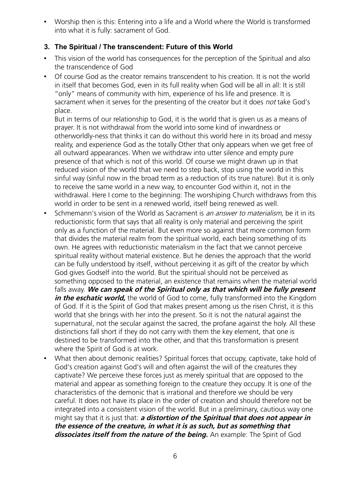• Worship then is this: Entering into a life and a World where the World is transformed into what it is fully: sacrament of God.

## **3. The Spiritual / The transcendent: Future of this World**

- This vision of the world has consequences for the perception of the Spiritual and also the transcendence of God
- Of course God as the creator remains transcendent to his creation. It is not the world in itself that becomes God, even in its full reality when God will be all in all: It is still "only" means of community with him, experience of his life and presence. It is sacrament when it serves for the presenting of the creator but it does *not* take God's place.

But in terms of our relationship to God, it is the world that is given us as a means of prayer. It is not withdrawal from the world into some kind of inwardness or otherworldly-ness that thinks it can do without this world here in its broad and messy reality, and experience God as the totally Other that only appears when we get free of all outward appearances. When we withdraw into utter silence and empty pure presence of that which is not of this world. Of course we might drawn up in that reduced vision of the world that we need to step back, stop using the world in this sinful way (sinful now in the broad term as a reduction of its true nature). But it is only to receive the same world in a new way, to encounter God within it, not in the withdrawal. Here I come to the beginning: The worshiping Church withdraws from this world in order to be sent in a renewed world, itself being renewed as well.

- Schmemann's vision of the World as Sacrament is an answer to materialism, be it in its reductionistic form that says that all reality is only material and perceiving the spirit only as a function of the material. But even more so against that more common form that divides the material realm from the spiritual world, each being something of its own. He agrees with reductionistic materialism in the fact that we cannot perceive spiritual reality without material existence. But he denies the approach that the world can be fully understood by itself, without perceiving it as gift of the creator by which God gives Godself into the world. But the spiritual should not be perceived as something opposed to the material, an existence that remains when the material world falls away. **We can speak of the Spiritual only as that which will be fully present** *in the eschatic world,* the world of God to come, fully transformed into the Kingdom of God. If it is the Spirit of God that makes present among us the risen Christ, it is this world that she brings with her into the present. So it is not the natural against the supernatural, not the secular against the sacred, the profane against the holy. All these distinctions fall short if they do not carry with them the key element, that one is destined to be transformed into the other, and that this transformation is present where the Spirit of God is at work.
- What then about demonic realities? Spiritual forces that occupy, captivate, take hold of God's creation against God's will and often against the will of the creatures they captivate? We perceive these forces just as merely spiritual that are opposed to the material and appear as something foreign to the creature they occupy. It is one of the characteristics of the demonic that is irrational and therefore we should be very careful. It does not have its place in the order of creation and should therefore not be integrated into a consistent vision of the world. But in a preliminary, cautious way one might say that it is just that: **a distortion of the Spiritual that does not appear in the essence of the creature, in what it is as such, but as something that dissociates itself from the nature of the being.** An example: The Spirit of God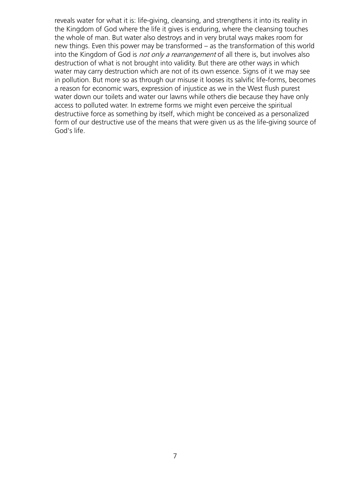reveals water for what it is: life-giving, cleansing, and strengthens it into its reality in the Kingdom of God where the life it gives is enduring, where the cleansing touches the whole of man. But water also destroys and in very brutal ways makes room for new things. Even this power may be transformed – as the transformation of this world into the Kingdom of God is not only a rearrangement of all there is, but involves also destruction of what is not brought into validity. But there are other ways in which water may carry destruction which are not of its own essence. Signs of it we may see in pollution. But more so as through our misuse it looses its salvific life-forms, becomes a reason for economic wars, expression of injustice as we in the West flush purest water down our toilets and water our lawns while others die because they have only access to polluted water. In extreme forms we might even perceive the spiritual destructiive force as something by itself, which might be conceived as a personalized form of our destructive use of the means that were given us as the life-giving source of God's life.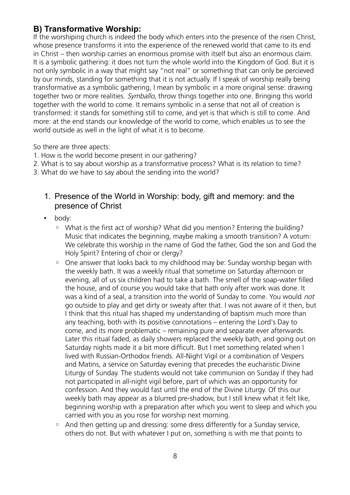# **B) Transformative Worship:**

If the worshiping church is indeed the body which enters into the presence of the risen Christ, whose presence transforms it into the experience of the renewed world that came to its end in Christ – then worship carries an enormous promise with itself but also an enormous claim. It is a symbolic gathering: it does not turn the whole world into the Kingdom of God. But it is not only symbolic in a way that might say "not real" or something that can only be percieved by our minds, standing for something that it is not actually. If I speak of worship really being transformative as a symbolic gathering, I mean by symbolic in a more original sense: drawing together two or more realities. Symballo, throw things together into one. Bringing this world together with the world to come. It remains symbolic in a sense that not all of creation is transformed: it stands for something still to come, and yet is that which is still to come. And more: at the end stands our knowledge of the world to come, which enables us to see the world outside as well in the light of what it is to become.

So there are three apects:

- 1. How is the world become present in our gathering?
- 2. What is to say about worship as a transformative process? What is its relation to time?
- 3. What do we have to say about the sending into the world?
	- 1. Presence of the World in Worship: body, gift and memory: and the presence of Christ
	- body:
		- What is the first act of worship? What did you mention? Entering the building? Music that indicates the beginning, maybe making a smooth transition? A votum: We celebrate this worship in the name of God the father, God the son and God the Holy Spirit? Entering of choir or clergy?
		- One answer that looks back to my childhood may be: Sunday worship began with the weekly bath. It was a weekly ritual that sometime on Saturday afternoon or evening, all of us six children had to take a bath. The smell of the soap-water filled the house, and of course you would take that bath only after work was done. It was a kind of a seal, a transition into the world of Sunday to come. You would *not* go outside to play and get dirty or sweaty after that. I was not aware of it then, but I think that this ritual has shaped my understanding of baptism much more than any teaching, both with its positive connotations – entering the Lord's Day to come, and its more problematic – remaining pure and separate ever afterwards. Later this ritual faded, as daily showers replaced the weekly bath, and going out on Saturday nights made it a bit more difficult. But I met something related when I lived with Russian-Orthodox friends. All-Night Vigil or a combination of Vespers and Matins, a service on Saturday evening that precedes the eucharistic Divine Liturgy of Sunday. The students would not take communion on Sunday if they had not participated in all-night vigil before, part of which was an opportunity for confession. And they would fast until the end of the Divine Liturgy. Of this our weekly bath may appear as a blurred pre-shadow, but I still knew what it felt like, beginning worship with a preparation after which you went to sleep and which you carried with you as you rose for worship next morning.
		- And then getting up and dressing: some dress differently for a Sunday service, others do not. But with whatever I put on, something is with me that points to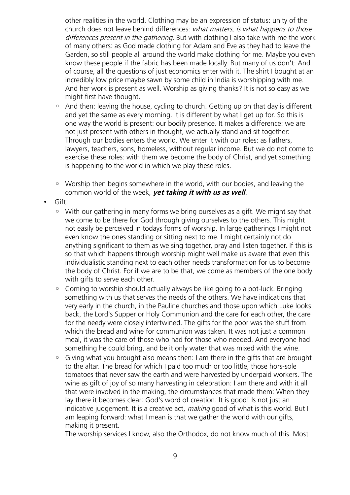other realities in the world. Clothing may be an expression of status: unity of the church does not leave behind differences: what matters, is what happens to those differences present in the gathering. But with clothing I also take with me the work of many others: as God made clothing for Adam and Eve as they had to leave the Garden, so still people all around the world make clothing for me. Maybe you even know these people if the fabric has been made locally. But many of us don't: And of course, all the questions of just economics enter with it. The shirt I bought at an incredibly low price maybe sawn by some child in India is worshipping with me. And her work is present as well. Worship as giving thanks? It is not so easy as we might first have thought.

- And then: leaving the house, cycling to church. Getting up on that day is different and yet the same as every morning. It is different by what I get up for. So this is one way the world is present: our bodily presence. It makes a difference: we are not just present with others in thought, we actually stand and sit together: Through our bodies enters the world. We enter it with our roles: as Fathers, lawyers, teachers, sons, homeless, without regular income. But we do not come to exercise these roles: with them we become the body of Christ, and yet something is happening to the world in which we play these roles.
- Worship then begins somewhere in the world, with our bodies, and leaving the common world of the week, **yet taking it with us as well**.
- Gift:
	- With our gathering in many forms we bring ourselves as a gift. We might say that we come to be there for God through giving ourselves to the others. This might not easily be perceived in todays forms of worship. In large gatherings I might not even know the ones standing or sitting next to me. I might certainly not do anything significant to them as we sing together, pray and listen together. If this is so that which happens through worship might well make us aware that even this individualistic standing next to each other needs transformation for us to become the body of Christ. For if we are to be that, we come as members of the one body with gifts to serve each other.
	- Coming to worship should actually always be like going to a pot-luck. Bringing something with us that serves the needs of the others. We have indications that very early in the church, in the Pauline churches and those upon which Luke looks back, the Lord's Supper or Holy Communion and the care for each other, the care for the needy were closely intertwined. The gifts for the poor was the stuff from which the bread and wine for communion was taken. It was not just a common meal, it was the care of those who had for those who needed. And everyone had something he could bring, and be it only water that was mixed with the wine.
	- Giving what you brought also means then: I am there in the gifts that are brought to the altar. The bread for which I paid too much or too little, those hors-sole tomatoes that never saw the earth and were harvested by underpaid workers. The wine as gift of joy of so many harvesting in celebration: I am there and with it all that were involved in the making, the circumstances that made them: When they lay there it becomes clear: God's word of creation: It is good! Is not just an indicative judgement. It is a creative act, *making* good of what is this world. But I am leaping forward: what I mean is that we gather the world with our gifts, making it present.

The worship services I know, also the Orthodox, do not know much of this. Most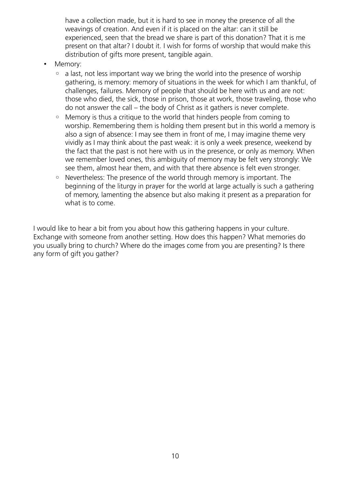have a collection made, but it is hard to see in money the presence of all the weavings of creation. And even if it is placed on the altar: can it still be experienced, seen that the bread we share is part of this donation? That it is me present on that altar? I doubt it. I wish for forms of worship that would make this distribution of gifts more present, tangible again.

- Memory:
	- a last, not less important way we bring the world into the presence of worship gathering, is memory: memory of situations in the week for which I am thankful, of challenges, failures. Memory of people that should be here with us and are not: those who died, the sick, those in prison, those at work, those traveling, those who do not answer the call – the body of Christ as it gathers is never complete.
	- Memory is thus a critique to the world that hinders people from coming to worship. Remembering them is holding them present but in this world a memory is also a sign of absence: I may see them in front of me, I may imagine theme very vividly as I may think about the past weak: it is only a week presence, weekend by the fact that the past is not here with us in the presence, or only as memory. When we remember loved ones, this ambiguity of memory may be felt very strongly: We see them, almost hear them, and with that there absence is felt even stronger.
	- Nevertheless: The presence of the world through memory is important. The beginning of the liturgy in prayer for the world at large actually is such a gathering of memory, lamenting the absence but also making it present as a preparation for what is to come.

I would like to hear a bit from you about how this gathering happens in your culture. Exchange with someone from another setting. How does this happen? What memories do you usually bring to church? Where do the images come from you are presenting? Is there any form of gift you gather?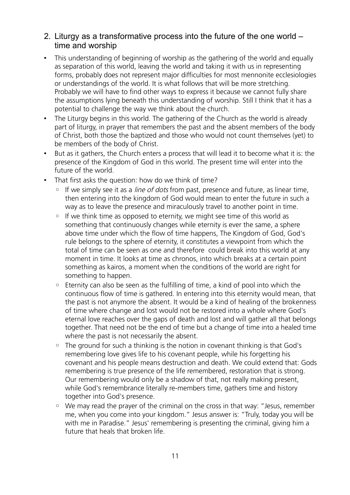# 2. Liturgy as a transformative process into the future of the one world – time and worship

- This understanding of beginning of worship as the gathering of the world and equally as separation of this world, leaving the world and taking it with us in representing forms, probably does not represent major difficulties for most mennonite ecclesiologies or understandings of the world. It is what follows that will be more stretching. Probably we will have to find other ways to express it because we cannot fully share the assumptions lying beneath this understanding of worship. Still I think that it has a potential to challenge the way we think about the church.
- The Liturgy begins in this world. The gathering of the Church as the world is already part of liturgy, in prayer that remembers the past and the absent members of the body of Christ, both those the baptized and those who would not count themselves (yet) to be members of the body of Christ.
- But as it gathers, the Church enters a process that will lead it to become what it is: the presence of the Kingdom of God in this world. The present time will enter into the future of the world.
- That first asks the question: how do we think of time?
	- If we simply see it as a *line of dots* from past, presence and future, as linear time, then entering into the kingdom of God would mean to enter the future in such a way as to leave the presence and miraculously travel to another point in time.
	- If we think time as opposed to eternity, we might see time of this world as something that continuously changes while eternity is ever the same, a sphere above time under which the flow of time happens, The Kingdom of God, God's rule belongs to the sphere of eternity, it constitutes a viewpoint from which the total of time can be seen as one and therefore could break into this world at any moment in time. It looks at time as chronos, into which breaks at a certain point something as kairos, a moment when the conditions of the world are right for something to happen.
	- Eternity can also be seen as the fulfilling of time, a kind of pool into which the continuous flow of time is gathered. In entering into this eternity would mean, that the past is not anymore the absent. It would be a kind of healing of the brokenness of time where change and lost would not be restored into a whole where God's eternal love reaches over the gaps of death and lost and will gather all that belongs together. That need not be the end of time but a change of time into a healed time where the past is not necessarily the absent.
	- The ground for such a thinking is the notion in covenant thinking is that God's remembering love gives life to his covenant people, while his forgetting his covenant and his people means destruction and death. We could extend that: Gods remembering is true presence of the life remembered, restoration that is strong. Our remembering would only be a shadow of that, not really making present, while God's remembrance literally re-members time, gathers time and history together into God's presence.
	- We may read the prayer of the criminal on the cross in that way: "Jesus, remember me, when you come into your kingdom." Jesus answer is: "Truly, today you will be with me in Paradise." Jesus' remembering is presenting the criminal, giving him a future that heals that broken life.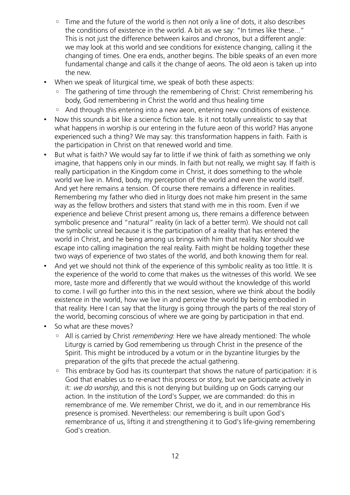- Time and the future of the world is then not only a line of dots, it also describes the conditions of existence in the world. A bit as we say: "In times like these..." This is not just the difference between kairos and chronos, but a different angle: we may look at this world and see conditions for existence changing, calling it the changing of times. One era ends, another begins. The bible speaks of an even more fundamental change and calls it the change of aeons. The old aeon is taken up into the new.
- When we speak of liturgical time, we speak of both these aspects:
	- The gathering of time through the remembering of Christ: Christ remembering his body, God remembering in Christ the world and thus healing time
	- And through this entering into a new aeon, entering new conditions of existence.
- Now this sounds a bit like a science fiction tale. Is it not totally unrealistic to say that what happens in worship is our entering in the future aeon of this world? Has anyone experienced such a thing? We may say: this transformation happens in faith. Faith is the participation in Christ on that renewed world and time.
- But what is faith? We would say far to little if we think of faith as something we only imagine, that happens only in our minds. In faith but not really, we might say. If faith is really participation in the Kingdom come in Christ, it does something to the whole world we live in. Mind, body, my perception of the world and even the world itself. And yet here remains a tension. Of course there remains a difference in realities. Remembering my father who died in liturgy does not make him present in the same way as the fellow brothers and sisters that stand with me in this room. Even if we experience and believe Christ present among us, there remains a difference between symbolic presence and "natural" reality (in lack of a better term). We should not call the symbolic unreal because it is the participation of a reality that has entered the world in Christ, and he being among us brings with him that reality. Nor should we escape into calling imagination the real reality. Faith might be holding together these two ways of experience of two states of the world, and both knowing them for real.
- And yet we should not think of the experience of this symbolic reality as too little. It is the experience of the world to come that makes us the witnesses of this world. We see more, taste more and differently that we would without the knowledge of this world to come. I will go further into this in the next session, where we think about the bodily existence in the world, how we live in and perceive the world by being embodied in that reality. Here I can say that the liturgy is going through the parts of the real story of the world, becoming conscious of where we are going by participation in that end.
- So what are these moves?
	- All is carried by Christ remembering: Here we have already mentioned: The whole Liturgy is carried by God remembering us through Christ in the presence of the Spirit. This might be introduced by a votum or in the byzantine liturgies by the preparation of the gifts that precede the actual gathering.
	- This embrace by God has its counterpart that shows the nature of participation: it is God that enables us to re-enact this process or story, but we participate actively in it: we do worship, and this is not denying but building up on Gods carrying our action. In the institution of the Lord's Supper, we are commanded: do this in remembrance of me. We remember Christ, we do it, and in our remembrance His presence is promised. Nevertheless: our remembering is built upon God's remembrance of us, lifting it and strengthening it to God's life-giving remembering God's creation.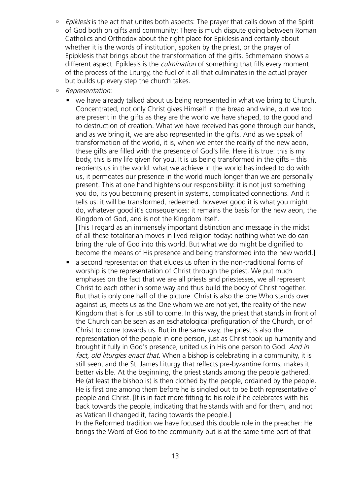- Epiklesis is the act that unites both aspects: The prayer that calls down of the Spirit of God both on gifts and community: There is much dispute going between Roman Catholics and Orthodox about the right place for Epiklesis and certainly about whether it is the words of institution, spoken by the priest, or the prayer of Epipklesis that brings about the transformation of the gifts. Schmemann shows a different aspect. Epiklesis is the *culmination* of something that fills every moment of the process of the Liturgy, the fuel of it all that culminates in the actual prayer but builds up every step the church takes.
- Representation:
	- we have already talked about us being represented in what we bring to Church. Concentrated, not only Christ gives Himself in the bread and wine, but we too are present in the gifts as they are the world we have shaped, to the good and to destruction of creation. What we have received has gone through our hands, and as we bring it, we are also represented in the gifts. And as we speak of transformation of the world, it is, when we enter the reality of the new aeon, these gifts are filled with the presence of God's life. Here it is true: this is my body, this is my life given for you. It is us being transformed in the gifts – this reorients us in the world: what we achieve in the world has indeed to do with us, it permeates our presence in the world much longer than we are personally present. This at one hand hightens our responsibility: it is not just something you do, its you becoming present in systems, complicated connections. And it tells us: it will be transformed, redeemed: however good it is what you might do, whatever good it's consequences: it remains the basis for the new aeon, the Kingdom of God, and is not the Kingdom itself.

[This I regard as an immensely important distinction and message in the midst of all these totalitarian moves in lived religion today: nothing what we do can bring the rule of God into this world. But what we do might be dignified to become the means of His presence and being transformed into the new world.]

■ a second representation that eludes us often in the non-traditional forms of worship is the representation of Christ through the priest. We put much emphases on the fact that we are all priests and priestesses, we all represent Christ to each other in some way and thus build the body of Christ together. But that is only one half of the picture. Christ is also the one Who stands over against us, meets us as the One whom we are not yet, the reality of the new Kingdom that is for us still to come. In this way, the priest that stands in front of the Church can be seen as an eschatological prefiguration of the Church, or of Christ to come towards us. But in the same way, the priest is also the representation of the people in one person, just as Christ took up humanity and brought it fully in God's presence, united us in His one person to God. And in fact, old liturgies enact that. When a bishop is celebrating in a community, it is still seen, and the St. James Liturgy that reflects pre-byzantine forms, makes it better visible. At the beginning, the priest stands among the people gathered. He (at least the bishop is) is then clothed by the people, ordained by the people. He is first one among them before he is singled out to be both representative of people and Christ. [It is in fact more fitting to his role if he celebrates with his back towards the people, indicating that he stands with and for them, and not as Vatican II changed it, facing towards the people.]

In the Reformed tradition we have focused this double role in the preacher: He brings the Word of God to the community but is at the same time part of that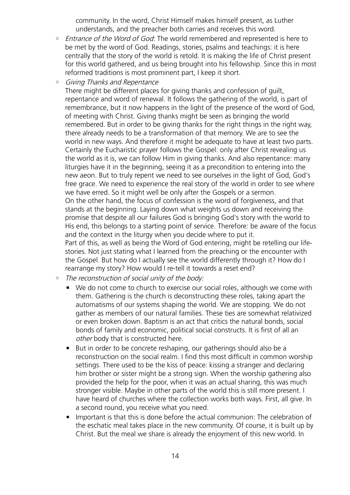community. In the word, Christ Himself makes himself present, as Luther understands, and the preacher both carries and receives this word.

- Entrance of the Word of God: The world remembered and represented is here to be met by the word of God. Readings, stories, psalms and teachings: it is here centrally that the story of the world is retold. It is making the life of Christ present for this world gathered, and us being brought into his fellowship. Since this in most reformed traditions is most prominent part, I keep it short.
- Giving Thanks and Repentance

There might be different places for giving thanks and confession of guilt, repentance and word of renewal. It follows the gathering of the world, is part of remembrance, but it now happens in the light of the presence of the word of God, of meeting with Christ. Giving thanks might be seen as bringing the world remembered. But in order to be giving thanks for the right things in the right way, there already needs to be a transformation of that memory. We are to see the world in new ways. And therefore it might be adequate to have at least two parts. Certainly the Eucharistic prayer follows the Gospel: only after Christ revealing us the world as it is, we can follow Him in giving thanks. And also repentance: many liturgies have it in the beginning, seeing it as a precondition to entering into the new aeon. But to truly repent we need to see ourselves in the light of God, God's free grace. We need to experience the real story of the world in order to see where we have erred. So it might well be only after the Gospels or a sermon. On the other hand, the focus of confession is the word of forgiveness, and that stands at the beginning. Laying down what weights us down and receiving the promise that despite all our failures God is bringing God's story with the world to His end, this belongs to a starting point of service. Therefore: be aware of the focus and the context in the liturgy when you decide where to put it. Part of this, as well as being the Word of God entering, might be retelling our lifestories. Not just stating what I learned from the preaching or the encounter with the Gospel. But how do I actually see the world differently through it? How do I rearrange my story? How would I re-tell it towards a reset end?

- The reconstruction of social unity of the body:
	- We do not come to church to exercise our social roles, although we come with them. Gathering is the church is deconstructing these roles, taking apart the automatisms of our systems shaping the world. We are stopping. We do not gather as members of our natural families. These ties are somewhat relativized or even broken down. Baptism is an act that critics the natural bonds, social bonds of family and economic, political social constructs. It is first of all an other body that is constructed here.
	- But in order to be concrete reshaping, our gatherings should also be a reconstruction on the social realm. I find this most difficult in common worship settings. There used to be the kiss of peace: kissing a stranger and declaring him brother or sister might be a strong sign. When the worship gathering also provided the help for the poor, when it was an actual sharing, this was much stronger visible. Maybe in other parts of the world this is still more present. I have heard of churches where the collection works both ways. First, all give. In a second round, you receive what you need.
	- Important is that this is done before the actual communion: The celebration of the eschatic meal takes place in the new community. Of course, it is built up by Christ. But the meal we share is already the enjoyment of this new world. In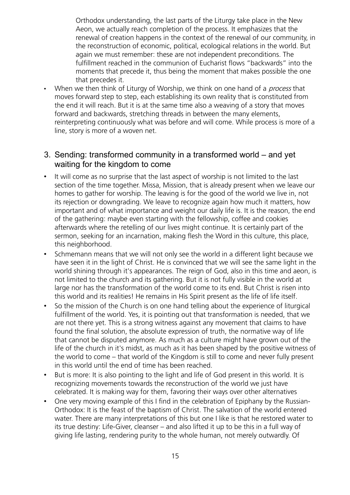Orthodox understanding, the last parts of the Liturgy take place in the New Aeon, we actually reach completion of the process. It emphasizes that the renewal of creation happens in the context of the renewal of our community, in the reconstruction of economic, political, ecological relations in the world. But again we must remember: these are not independent preconditions. The fulfillment reached in the communion of Eucharist flows "backwards" into the moments that precede it, thus being the moment that makes possible the one that precedes it.

• When we then think of Liturgy of Worship, we think on one hand of a *process* that moves forward step to step, each establishing its own reality that is constituted from the end it will reach. But it is at the same time also a weaving of a story that moves forward and backwards, stretching threads in between the many elements, reinterpreting continuously what was before and will come. While process is more of a line, story is more of a woven net.

### 3. Sending: transformed community in a transformed world – and yet waiting for the kingdom to come

- It will come as no surprise that the last aspect of worship is not limited to the last section of the time together. Missa, Mission, that is already present when we leave our homes to gather for worship. The leaving is for the good of the world we live in, not its rejection or downgrading. We leave to recognize again how much it matters, how important and of what importance and weight our daily life is. It is the reason, the end of the gathering: maybe even starting with the fellowship, coffee and cookies afterwards where the retelling of our lives might continue. It is certainly part of the sermon, seeking for an incarnation, making flesh the Word in this culture, this place, this neighborhood.
- Schmemann means that we will not only see the world in a different light because we have seen it in the light of Christ. He is convinced that we will see the same light in the world shining through it's appearances. The reign of God, also in this time and aeon, is not limited to the church and its gathering. But it is not fully visible in the world at large nor has the transformation of the world come to its end. But Christ is risen into this world and its realities! He remains in His Spirit present as the life of life itself.
- So the mission of the Church is on one hand telling about the experience of liturgical fulfillment of the world. Yes, it is pointing out that transformation is needed, that we are not there yet. This is a strong witness against any movement that claims to have found the final solution, the absolute expression of truth, the normative way of life that cannot be disputed anymore. As much as a culture might have grown out of the life of the church in it's midst, as much as it has been shaped by the positive witness of the world to come – that world of the Kingdom is still to come and never fully present in this world until the end of time has been reached.
- But is more: It is also pointing to the light and life of God present in this world. It is recognizing movements towards the reconstruction of the world we just have celebrated. It is making way for them, favoring their ways over other alternatives
- One very moving example of this I find in the celebration of Epiphany by the Russian-Orthodox: It is the feast of the baptism of Christ. The salvation of the world entered water. There are many interpretations of this but one I like is that he restored water to its true destiny: Life-Giver, cleanser – and also lifted it up to be this in a full way of giving life lasting, rendering purity to the whole human, not merely outwardly. Of